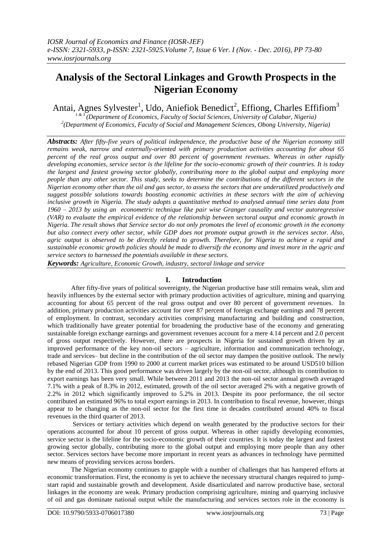# **Analysis of the Sectoral Linkages and Growth Prospects in the Nigerian Economy**

Antai, Agnes Sylvester<sup>1</sup>, Udo, Aniefiok Benedict<sup>2</sup>, Effiong, Charles Effifiom<sup>3</sup>

*1 & 3 (Department of Economics, Faculty of Social Sciences, University of Calabar, Nigeria) 2 (Department of Economics, Faculty of Social and Management Sciences, Obong University, Nigeria)*

*Abstracts: After fifty-five years of political independence, the productive base of the Nigerian economy still remains weak, narrow and externally-oriented with primary production activities accounting for about 65 percent of the real gross output and over 80 percent of government revenues. Whereas in other rapidly developing economies, service sector is the lifeline for the socio-economic growth of their countries. It is today the largest and fastest growing sector globally, contributing more to the global output and employing more people than any other sector. This study, seeks to determine the contributions of the different sectors in the Nigerian economy other than the oil and gas sector, to assess the sectors that are underutilized productively and suggest possible solutions towards boosting economic activities in these sectors with the aim of achieving inclusive growth in Nigeria. The study adopts a quantitative method to analysed annual time series data from 1960 – 2013 by using an econometric technique like pair wise Granger causality and vector autoregressive (VAR) to evaluate the empirical evidence of the relationship between sectoral output and economic growth in Nigeria. The result shows that Service sector do not only promotes the level of economic growth in the economy but also connect every other sector, while GDP does not promote output growth in the services sector. Also, agric output is observed to be directly related to growth. Therefore, for Nigeria to achieve a rapid and sustainable economic growth policies should be made to diversify the economy and invest more in the agric and service sectors to harnessed the potentials available in these sectors.*

*Keywords: Agriculture, Economic Growth, industry, sectoral linkage and service* 

## **I. Introduction**

After fifty-five years of political sovereignty, the Nigerian productive base still remains weak, slim and heavily influences by the external sector with primary production activities of agriculture, mining and quarrying accounting for about 65 percent of the real gross output and over 80 percent of government revenues. In addition, primary production activities account for over 87 percent of foreign exchange earnings and 78 percent of employment. In contrast, secondary activities comprising manufacturing and building and construction, which traditionally have greater potential for broadening the productive base of the economy and generating sustainable foreign exchange earnings and government revenues account for a mere 4.14 percent and 2.0 percent of gross output respectively. However, there are prospects in Nigeria for sustained growth driven by an improved performance of the key non-oil sectors – agriculture, information and communication technology, trade and services– but decline in the contribution of the oil sector may dampen the positive outlook. The newly rebased Nigerian GDP from 1990 to 2000 at current market prices was estimated to be around USD510 billion by the end of 2013. This good performance was driven largely by the non-oil sector, although its contribution to export earnings has been very small. While between 2011 and 2013 the non-oil sector annual growth averaged 7.1% with a peak of 8.3% in 2012, estimated, growth of the oil sector averaged 2% with a negative growth of 2.2% in 2012 which significantly improved to 5.2% in 2013. Despite its poor performance, the oil sector contributed an estimated 96% to total export earnings in 2013. In contribution to fiscal revenue, however, things appear to be changing as the non-oil sector for the first time in decades contributed around 40% to fiscal revenues in the third quarter of 2013.

Services or tertiary activities which depend on wealth generated by the productive sectors for their operations accounted for about 10 percent of gross output. Whereas in other rapidly developing economies, service sector is the lifeline for the socio-economic growth of their countries. It is today the largest and fastest growing sector globally, contributing more to the global output and employing more people than any other sector. Services sectors have become more important in recent years as advances in technology have permitted new means of providing services across borders.

The Nigerian economy continues to grapple with a number of challenges that has hampered efforts at economic transformation. First, the economy is yet to achieve the necessary structural changes required to jumpstart rapid and sustainable growth and development. Aside disarticulated and narrow productive base, sectoral linkages in the economy are weak. Primary production comprising agriculture, mining and quarrying inclusive of oil and gas dominate national output while the manufacturing and services sectors role in the economy is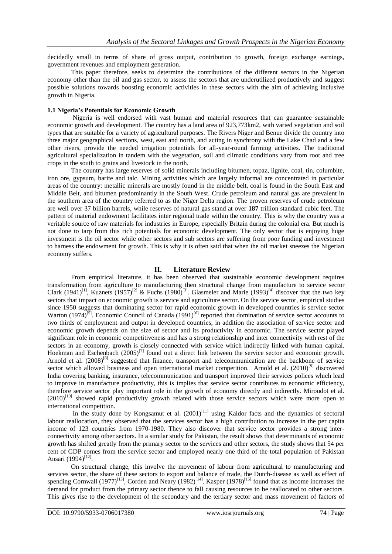decidedly small in terms of share of gross output, contribution to growth, foreign exchange earnings, government revenues and employment generation.

This paper therefore, seeks to determine the contributions of the different sectors in the Nigerian economy other than the oil and gas sector, to assess the sectors that are underutilized productively and suggest possible solutions towards boosting economic activities in these sectors with the aim of achieving inclusive growth in Nigeria.

#### **1.1 Nigeria's Potentials for Economic Growth**

Nigeria is well endorsed with vast human and material resources that can guarantee sustainable economic growth and development. The country has a land area of 923,773km2, with varied vegetation and soil types that are suitable for a variety of agricultural purposes. The Rivers Niger and Benue divide the country into three major geographical sections, west, east and north, and acting in synchrony with the Lake Chad and a few other rivers, provide the needed irrigation potentials for all-year-round farming activities. The traditional agricultural specialization in tandem with the vegetation, soil and climatic conditions vary from root and tree crops in the south to grains and livestock in the north.

The country has large reserves of solid minerals including bitumen, topaz, lignite, coal, tin, columbite, iron ore, gypsum, barite and talc. Mining activities which are largely informal are concentrated in particular areas of the country: metallic minerals are mostly found in the middle belt, coal is found in the South East and Middle Belt, and bitumen predominantly in the South West. Crude petroleum and natural gas are prevalent in the southern area of the country referred to as the Niger Delta region. The proven reserves of crude petroleum are well over 37 billion barrels, while reserves of natural gas stand at over **187** trillion standard cubic feet. The pattern of material endowment facilitates inter regional trade within the country. This is why the country was a veritable source of raw materials for industries in Europe, especially Britain during the colonial era. But much is not done to tarp from this rich potentials for economic development. The only sector that is enjoying huge investment is the oil sector while other sectors and sub sectors are suffering from poor funding and investment to harness the endowment for growth. This is why it is often said that when the oil market sneezes the Nigerian economy suffers.

## **II. Literature Review**

From empirical literature, it has been observed that sustainable economic development requires transformation from agriculture to manufacturing then structural change from manufacture to service sector Clark (1941)<sup>[1]</sup>, Kuznets (1957)<sup>[2]</sup> & Fuchs (1980)<sup>[3]</sup>. Glasmeier and Marie (1993)<sup>[4]</sup> discover that the two key sectors that impact on economic growth is service and agriculture sector. On the service sector, empirical studies since 1950 suggests that dominating sector for rapid economic growth in developed countries is service sector Warton (1974)<sup>[5]</sup>. Economic Council of Canada (1991)<sup>[6]</sup> reported that domination of service sector accounts to two thirds of employment and output in developed countries, in addition the association of service sector and economic growth depends on the size of sector and its productivity in economic. The service sector played significant role in economic competitiveness and has a strong relationship and inter connectivity with rest of the sectors in an economy, growth is closely connected with service which indirectly linked with human capital. Hoekman and Eschenbach  $(2005)^{[7]}$  found out a direct link between the service sector and economic growth. Arnold et al.  $(2008)^{[8]}$  suggested that finance, transport and telecommunication are the backbone of service sector which allowed business and open international market competition. Arnold et al.  $(2010)^{[9]}$  discovered India covering banking, insurance, telecommunication and transport improved their services polices which lead to improve in manufacture productivity, this is implies that service sector contributes to economic efficiency, therefore service sector play important role in the growth of economy directly and indirectly. Miroudot et al. (2010)<sup>[10]</sup> showed rapid productivity growth related with those service sectors which were more open to international competition.

In the study done by Kongsamut et al.  $(2001)^{[11]}$  using Kaldor facts and the dynamics of sectoral labour reallocation, they observed that the services sector has a high contribution to increase in the per capita income of 123 countries from 1970-1980. They also discover that service sector provides a strong interconnectivity among other sectors. In a similar study for Pakistan, the result shows that determinants of economic growth has shifted greatly from the primary sector to the services and other sectors, the study shows that 54 per cent of GDP comes from the service sector and employed nearly one third of the total population of Pakistan Ansari (1994)<sup>[12]</sup>.

On structural change, this involve the movement of labour from agricultural to manufacturing and services sector, the share of these sectors to export and balance of trade, the Dutch-disease as well as effect of spending Cornwall (1977)<sup>[13]</sup>, Corden and Neary (1982)<sup>[14]</sup>. Kasper (1978)<sup>[15]</sup> found that as income increases the demand for product from the primary sector thence to fall causing resources to be reallocated to other sectors. This gives rise to the development of the secondary and the tertiary sector and mass movement of factors of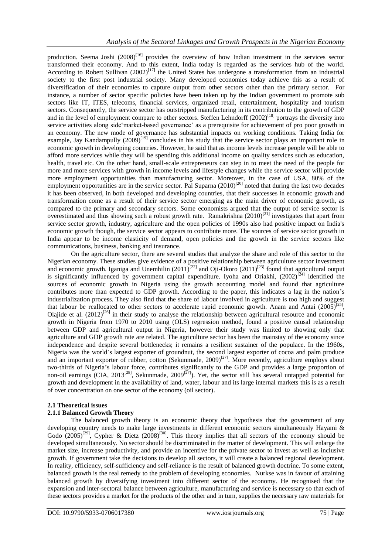production. Seema Joshi  $(2008)^{[16]}$  provides the overview of how Indian investment in the services sector transformed their economy. And to this extent, India today is regarded as the services hub of the world. According to Robert Sullivan  $(2002)^{[17]}$  the United States has undergone a transformation from an industrial society to the first post industrial society. Many developed economies today achieve this as a result of diversification of their economies to capture output from other sectors other than the primary sector. For instance, a number of sector specific policies have been taken up by the Indian government to promote sub sectors like IT, ITES, telecoms, financial services, organized retail, entertainment, hospitality and tourism sectors. Consequently, the service sector has outstripped manufacturing in its contribution to the growth of GDP and in the level of employment compare to other sectors. Steffen Lehndorff  $(2002)^{[18]}$  portrays the diversity into service activities along side market-based governance' as a prerequisite for achievement of pro poor growth in an economy. The new mode of governance has substantial impacts on working conditions. Taking India for example, Jay Kandampully  $(2009)^{[19]}$  concludes in his study that the service sector plays an important role in economic growth in developing countries. However, he said that as income levels increase people will be able to afford more services while they will be spending this additional income on quality services such as education, health, travel etc. On the other hand, small-scale entrepreneurs can step in to meet the need of the people for more and more services with growth in income levels and lifestyle changes while the service sector will provide more employment opportunities than manufacturing sector. Moreover, in the case of USA, 80% of the employment opportunities are in the service sector. Pal Suparna  $(2010)^{[20]}$  noted that during the last two decades it has been observed, in both developed and developing countries, that their successes in economic growth and transformation come as a result of their service sector emerging as the main driver of economic growth, as compared to the primary and secondary sectors. Some economists argued that the output of service sector is overestimated and thus showing such a robust growth rate. Ramakrishna  $(2010)^{[21]}$  investigates that apart from service sector growth, industry, agriculture and the open policies of 1990s also had positive impact on India's economic growth though, the service sector appears to contribute more. The sources of service sector growth in India appear to be income elasticity of demand, open policies and the growth in the service sectors like communications, business, banking and insurance.

On the agriculture sector, there are several studies that analyze the share and role of this sector to the Nigerian economy. These studies give evidence of a positive relationship between agriculture sector investment and economic growth. Iganiga and Unemhilin  $(2011)^{[22]}$  and Oji-Okoro  $(2011)^{[23]}$  found that agricultural output is significantly influenced by government capital expenditure. Iyoha and Oriakhi,  $(2002)^{[24]}$  identified the sources of economic growth in Nigeria using the growth accounting model and found that agriculture contributes more than expected to GDP growth. According to the paper, this indicates a lag in the nation's industrialization process. They also find that the share of labour involved in agriculture is too high and suggest that labour be reallocated to other sectors to accelerate rapid economic growth. Anam and Antai  $(2005)^{[25]}$ , Olajide et al.  $(2012)^{[26]}$  in their study to analyse the relationship between agricultural resource and economic growth in Nigeria from 1970 to 2010 using (OLS) regression method, found a positive causal relationship between GDP and agricultural output in Nigeria, however their study was limited to showing only that agriculture and GDP growth rate are related. The agriculture sector has been the mainstay of the economy since independence and despite several bottlenecks; it remains a resilient sustainer of the populace. In the 1960s, Nigeria was the world's largest exporter of groundnut, the second largest exporter of cocoa and palm produce and an important exporter of rubber, cotton (Sekunmade, 2009)<sup>[27]</sup>. More recently, agriculture employs about two-thirds of Nigeria's labour force, contributes significantly to the GDP and provides a large proportion of non-oil earnings (CIA, 2013<sup>[28]</sup>, Sekunmade, 2009<sup>[27]</sup>). Yet, the sector still has several untapped potential for growth and development in the availability of land, water, labour and its large internal markets this is as a result of over concentration on one sector of the economy (oil sector).

#### **2.1 Theoretical issues**

#### **2.1.1 Balanced Growth Theory**

The balanced growth theory is an economic theory that hypothesis that the government of any developing country needs to make large investments in different economic sectors simultaneously Hayami & Godo  $(2005)^{[29]}$ , Cypher & Dietz  $(2008)^{[30]}$ . This theory implies that all sectors of the economy should be developed simultaneously. No sector should be discriminated in the matter of development. This will enlarge the market size, increase productivity, and provide an incentive for the private sector to invest as well as inclusive growth. If government take the decisions to develop all sectors, it will create a balanced regional development. In reality, efficiency, self-sufficiency and self-reliance is the result of balanced growth doctrine. To some extent, balanced growth is the real remedy to the problem of developing economies. Nurkse was in favour of attaining balanced growth by diversifying investment into different sector of the economy. He recognised that the expansion and inter-sectoral balance between agriculture, manufacturing and service is necessary so that each of these sectors provides a market for the products of the other and in turn, supplies the necessary raw materials for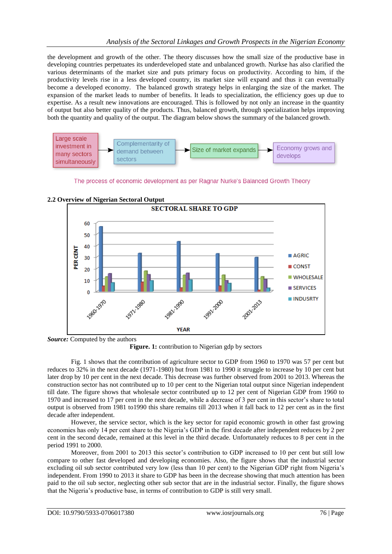the development and growth of the other. The theory discusses how the small size of the productive base in developing countries perpetuates its underdeveloped state and unbalanced growth. Nurkse has also clarified the various determinants of the market size and puts primary focus on productivity. According to him, if the productivity levels rise in a less developed country, its market size will expand and thus it can eventually become a developed economy. The balanced growth strategy helps in enlarging the size of the market. The expansion of the market leads to number of benefits. It leads to specialization, the efficiency goes up due to expertise. As a result new innovations are encouraged. This is followed by not only an increase in the quantity of output but also better quality of the products. Thus, balanced growth, through specialization helps improving both the quantity and quality of the output. The diagram below shows the summary of the balanced growth.



The process of economic development as per Ragnar Nurke's Balanced Growth Theory



**2.2 Overview of Nigerian Sectoral Output**

*Source:* Computed by the authors

Figure. 1: contribution to Nigerian gdp by sectors

Fig. 1 shows that the contribution of agriculture sector to GDP from 1960 to 1970 was 57 per cent but reduces to 32% in the next decade (1971-1980) but from 1981 to 1990 it struggle to increase by 10 per cent but later drop by 10 per cent in the next decade. This decrease was further observed from 2001 to 2013. Whereas the construction sector has not contributed up to 10 per cent to the Nigerian total output since Nigerian independent till date. The figure shows that wholesale sector contributed up to 12 per cent of Nigerian GDP from 1960 to 1970 and increased to 17 per cent in the next decade, while a decrease of 3 per cent in this sector's share to total output is observed from 1981 to1990 this share remains till 2013 when it fall back to 12 per cent as in the first decade after independent.

However, the service sector, which is the key sector for rapid economic growth in other fast growing economies has only 14 per cent share to the Nigeria's GDP in the first decade after independent reduces by 2 per cent in the second decade, remained at this level in the third decade. Unfortunately reduces to 8 per cent in the period 1991 to 2000.

Moreover, from 2001 to 2013 this sector's contribution to GDP increased to 10 per cent but still low compare to other fast developed and developing economies. Also, the figure shows that the industrial sector excluding oil sub sector contributed very low (less than 10 per cent) to the Nigerian GDP right from Nigeria's independent. From 1990 to 2013 it share to GDP has been in the decrease showing that much attention has been paid to the oil sub sector, neglecting other sub sector that are in the industrial sector. Finally, the figure shows that the Nigeria's productive base, in terms of contribution to GDP is still very small.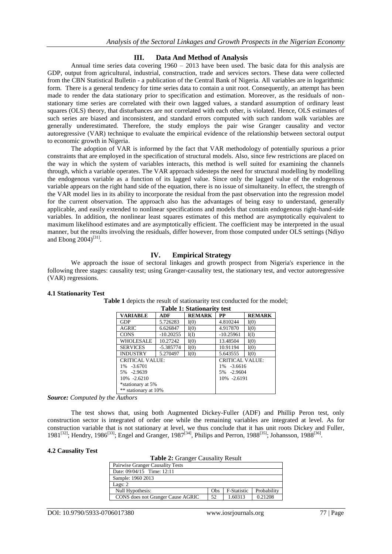# **III. Data And Method of Analysis**

Annual time series data covering 1960 – 2013 have been used. The basic data for this analysis are GDP, output from agricultural, industrial, construction, trade and services sectors. These data were collected from the CBN Statistical Bulletin - a publication of the Central Bank of Nigeria. All variables are in logarithmic form. There is a general tendency for time series data to contain a unit root. Consequently, an attempt has been made to render the data stationary prior to specification and estimation. Moreover, as the residuals of nonstationary time series are correlated with their own lagged values, a standard assumption of ordinary least squares (OLS) theory, that disturbances are not correlated with each other, is violated. Hence, OLS estimates of such series are biased and inconsistent, and standard errors computed with such random walk variables are generally underestimated. Therefore, the study employs the pair wise Granger causality and vector autoregressive (VAR) technique to evaluate the empirical evidence of the relationship between sectoral output to economic growth in Nigeria.

The adoption of VAR is informed by the fact that VAR methodology of potentially spurious a prior constraints that are employed in the specification of structural models. Also, since few restrictions are placed on the way in which the system of variables interacts, this method is well suited for examining the channels through, which a variable operates. The VAR approach sidesteps the need for structural modelling by modelling the endogenous variable as a function of its lagged value. Since only the lagged value of the endogenous variable appears on the right hand side of the equation, there is no issue of simultaneity. In effect, the strength of the VAR model lies in its ability to incorporate the residual from the past observation into the regression model for the current observation. The approach also has the advantages of being easy to understand, generally applicable, and easily extended to nonlinear specifications and models that contain endogenous right-hand-side variables. In addition, the nonlinear least squares estimates of this method are asymptotically equivalent to maximum likelihood estimates and are asymptotically efficient. The coefficient may be interpreted in the usual manner, but the results involving the residuals, differ however, from those computed under OLS settings (Ndiyo and Ebong  $2004$ <sup>[31]</sup>.

# **IV. Empirical Strategy**

We approach the issue of sectoral linkages and growth prospect from Nigeria's experience in the following three stages: causality test; using Granger-causality test, the stationary test, and vector autoregressive (VAR) regressions.

| <b>Table 1: Stationarity test</b> |             |               |                        |               |  |  |  |
|-----------------------------------|-------------|---------------|------------------------|---------------|--|--|--|
| <b>VARIABLE</b>                   | ADF         | <b>REMARK</b> | PP                     | <b>REMARK</b> |  |  |  |
| <b>GDP</b>                        | 5.726283    | I(0)          | 4.810244               | I(0)          |  |  |  |
| <b>AGRIC</b>                      | 6.626847    | I(0)          | 4.917870               | I(0)          |  |  |  |
| <b>CONS</b>                       | $-10.20255$ | I(I)          | $-10.25961$            | I(I)          |  |  |  |
| <b>WHOLESALE</b>                  | 10.27242    | I(0)          | 13.48504               | I(0)          |  |  |  |
| <b>SERVICES</b>                   | $-5.385774$ | I(0)          | 10.91194               | I(0)          |  |  |  |
| <b>INDUSTRY</b>                   | 5.270497    | I(0)          | 5.643555               | I(0)          |  |  |  |
| CRITICAL VALUE:                   |             |               | <b>CRITICAL VALUE:</b> |               |  |  |  |
| 1% -3.6701                        |             |               | $1\% -3.6616$          |               |  |  |  |
| 5% -2.9639                        |             |               | 5% -2.9604             |               |  |  |  |
| $10\% -2.6210$                    |             |               | 10% -2.6191            |               |  |  |  |
| *stationary at 5%                 |             |               |                        |               |  |  |  |
| ** stationary at 10%              |             |               |                        |               |  |  |  |

#### **4.1 Stationarity Test**

**Table 1** depicts the result of stationarity test conducted for the model;

*Source: Computed by the Authors*

The test shows that, using both Augmented Dickey-Fuller (ADF) and Phillip Peron test, only construction sector is integrated of order one while the remaining variables are integrated at level. As for construction variable that is not stationary at level, we thus conclude that it has unit roots Dickey and Fuller, 1981<sup>[32]</sup>; Hendry, 1986<sup>[33]</sup>; Engel and Granger, 1987<sup>[34]</sup>, Philips and Perron, 1988<sup>[35]</sup>; Johansson, 1988<sup>[36]</sup>.

## **4.2 Causality Test**

| Table 2: Granger Causality Result |  |
|-----------------------------------|--|
|-----------------------------------|--|

| Pairwise Granger Causality Tests  |     |                    |             |
|-----------------------------------|-----|--------------------|-------------|
| Date: 09/04/15 Time: 12:11        |     |                    |             |
| Sample: 1960 2013                 |     |                    |             |
| Lags: $2$                         |     |                    |             |
| Null Hypothesis:                  | Obs | <b>F-Statistic</b> | Probability |
| CONS does not Granger Cause AGRIC | 52  | 1.60313            | 0.21208     |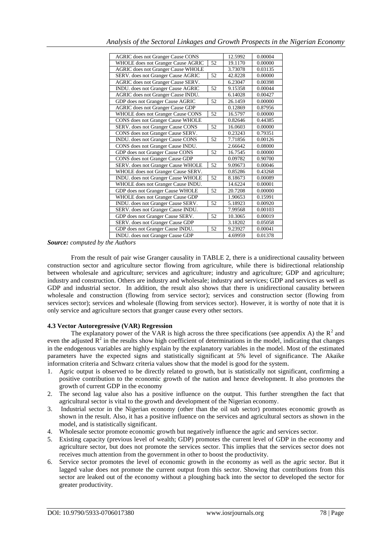| <b>AGRIC</b> does not Granger Cause CONS        |         | 12.5992 | 0.00004 |
|-------------------------------------------------|---------|---------|---------|
| WHOLE does not Granger Cause AGRIC              |         | 19.1170 | 0.00000 |
| 52<br><b>AGRIC</b> does not Granger Cause WHOLE |         | 3.73078 | 0.03135 |
| SERV. does not Granger Cause AGRIC<br>52        |         | 42.8228 | 0.00000 |
| AGRIC does not Granger Cause SERV.              | 6.23047 | 0.00398 |         |
| 52<br>INDU. does not Granger Cause AGRIC        |         | 9.15358 | 0.00044 |
| AGRIC does not Granger Cause INDU.              | 6.14028 | 0.00427 |         |
| GDP does not Granger Cause AGRIC                | 52      | 26.1459 | 0.00000 |
| <b>AGRIC</b> does not Granger Cause GDP         |         |         |         |
| WHOLE does not Granger Cause CONS               | 52      | 16.5797 | 0.00000 |
| CONS does not Granger Cause WHOLE               | 0.82646 | 0.44385 |         |
| 52<br>SERV. does not Granger Cause CONS         |         | 16.0603 | 0.00000 |
| CONS does not Granger Cause SERV.               | 0.23243 | 0.79351 |         |
| INDU. does not Granger Cause CONS               | 52      | 7.71856 | 0.00126 |
| CONS does not Granger Cause INDU.               | 2.66642 | 0.08000 |         |
| GDP does not Granger Cause CONS                 | 52      | 16.7545 | 0.00000 |
| CONS does not Granger Cause GDP                 | 0.09782 | 0.90700 |         |
| SERV. does not Granger Cause WHOLE              |         | 9.09673 | 0.00046 |
| WHOLE does not Granger Cause SERV.              |         | 0.85286 | 0.43268 |
| INDU. does not Granger Cause WHOLE              | 52      | 8.18673 | 0.00089 |
| WHOLE does not Granger Cause INDU.              | 14.6224 | 0.00001 |         |
| GDP does not Granger Cause WHOLE                | 52      | 20.7208 | 0.00000 |
| WHOLE does not Granger Cause GDP                | 1.90653 | 0.15991 |         |
| INDU. does not Granger Cause SERV.<br>52        |         | 5.18923 | 0.00920 |
| SERV. does not Granger Cause INDU.              | 7.99568 | 0.00103 |         |
| GDP does not Granger Cause SERV.<br>52          |         | 10.3065 | 0.00019 |
| SERV. does not Granger Cause GDP                |         | 3.18202 | 0.05058 |
| GDP does not Granger Cause INDU.                |         | 9.23927 | 0.00041 |
| INDU. does not Granger Cause GDP                |         | 4.69959 | 0.01378 |

#### *Source: computed by the Authors*

From the result of pair wise Granger causality in TABLE 2, there is a unidirectional causality between construction sector and agriculture sector flowing from agriculture, while there is bidirectional relationship between wholesale and agriculture; services and agriculture; industry and agriculture; GDP and agriculture; industry and construction. Others are industry and wholesale; industry and services; GDP and services as well as GDP and industrial sector. In addition, the result also shows that there is unidirectional causality between wholesale and construction (flowing from service sector); services and construction sector (flowing from services sector); services and wholesale (flowing from services sector). However, it is worthy of note that it is only service and agriculture sectors that granger cause every other sectors.

# **4.3 Vector Autoregressive (VAR) Regression**

The explanatory power of the VAR is high across the three specifications (see appendix A) the  $R^2$  and even the adjusted  $R^2$  in the results show high coefficient of determinations in the model, indicating that changes in the endogenous variables are highly explain by the explanatory variables in the model. Most of the estimated parameters have the expected signs and statistically significant at 5% level of significance. The Akaike information criteria and Schwarz criteria values show that the model is good for the system.

- 1. Agric output is observed to be directly related to growth, but is statistically not significant, confirming a positive contribution to the economic growth of the nation and hence development. It also promotes the growth of current GDP in the economy
- 2. The second lag value also has a positive influence on the output. This further strengthen the fact that agricultural sector is vital to the growth and development of the Nigerian economy.
- 3. Industrial sector in the Nigerian economy (other than the oil sub sector) promotes economic growth as shown in the result. Also, it has a positive influence on the services and agricultural sectors as shown in the model, and is statistically significant.
- 4. Wholesale sector promote economic growth but negatively influence the agric and services sector.<br>5. Existing capacity (previous level of wealth; GDP) promotes the current level of GDP in the econ
- 5. Existing capacity (previous level of wealth; GDP) promotes the current level of GDP in the economy and agriculture sector, but does not promote the services sector. This implies that the services sector does not receives much attention from the government in other to boost the productivity.
- 6. Service sector promotes the level of economic growth in the economy as well as the agric sector. But it lagged value does not promote the current output from this sector. Showing that contributions from this sector are leaked out of the economy without a ploughing back into the sector to developed the sector for greater productivity.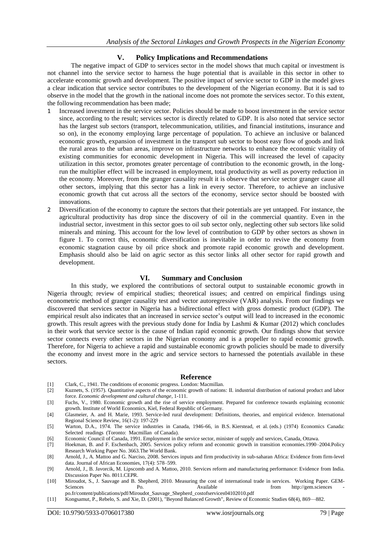## **V. Policy Implications and Recommendations**

The negative impact of GDP to services sector in the model shows that much capital or investment is not channel into the service sector to harness the huge potential that is available in this sector in other to accelerate economic growth and development. The positive impact of service sector to GDP in the model gives a clear indication that service sector contributes to the development of the Nigerian economy. But it is sad to observe in the model that the growth in the national income does not promote the services sector. To this extent, the following recommendation has been made;

- 1 Increased investment in the service sector. Policies should be made to boost investment in the service sector since, according to the result; services sector is directly related to GDP. It is also noted that service sector has the largest sub sectors (transport, telecommunication, utilities, and financial institutions, insurance and so on), in the economy employing large percentage of population. To achieve an inclusive or balanced economic growth, expansion of investment in the transport sub sector to boost easy flow of goods and link the rural areas to the urban areas, improve on infrastructure networks to enhance the economic vitality of existing communities for economic development in Nigeria. This will increased the level of capacity utilization in this sector, promotes greater percentage of contribution to the economic growth, in the longrun the multiplier effect will be increased in employment, total productivity as well as poverty reduction in the economy. Moreover, from the granger causality result it is observe that service sector granger cause all other sectors, implying that this sector has a link in every sector. Therefore, to achieve an inclusive economic growth that cut across all the sectors of the economy, service sector should be boosted with innovations.
- 2 Diversification of the economy to capture the sectors that their potentials are yet untapped. For instance, the agricultural productivity has drop since the discovery of oil in the commercial quantity. Even in the industrial sector, investment in this sector goes to oil sub sector only, neglecting other sub sectors like solid minerals and mining. This account for the low level of contribution to GDP by other sectors as shown in figure 1. To correct this, economic diversification is inevitable in order to revive the economy from economic stagnation cause by oil price shock and promote rapid economic growth and development. Emphasis should also be laid on agric sector as this sector links all other sector for rapid growth and development.

#### **VI. Summary and Conclusion**

In this study, we explored the contributions of sectoral output to sustainable economic growth in Nigeria through; review of empirical studies; theoretical issues; and centred on empirical findings using econometric method of granger causality test and vector autoregressive (VAR) analysis. From our findings we discovered that services sector in Nigeria has a bidirectional effect with gross domestic product (GDP). The empirical result also indicates that an increased in service sector's output will lead to increased in the economic growth. This result agrees with the previous study done for India by Lashmi & Kumar (2012) which concludes in their work that service sector is the cause of Indian rapid economic growth. Our findings show that service sector connects every other sectors in the Nigerian economy and is a propeller to rapid economic growth. Therefore, for Nigeria to achieve a rapid and sustainable economic growth policies should be made to diversify the economy and invest more in the agric and service sectors to harnessed the potentials available in these sectors.

#### **Reference**

- [1] Clark, C., 1941. The conditions of economic progress. London: Macmillan.
- [2] Kuznets, S. (1957). Quantitative aspects of the economic growth of nations: II. industrial distribution of national product and labor force. *Economic development and cultural change*, 1-111.
- [3] Fuchs, V., 1980. Economic growth and the rise of service employment. Prepared for conference towards explaining economic growth. Institute of World Economics, Kiel, Federal Republic of Germany.
- [4] Glasmeier, A. and H. Marie, 1993. Service-led rural development: Definitions, theories, and empirical evidence. International Regional Science Review, 16(1-2): 197-229
- [5] Warton, D.A., 1974. The service industries in Canada, 1946-66, in B.S. Kierstead, et al. (eds.) (1974) Economics Canada: Selected readings (Toronto: Macmillan of Canada).
- [6] Economic Council of Canada, 1991. Employment in the service sector, minister of supply and services, Canada, Ottawa.
- [7] Hoekman, B. and F. Eschenbach, 2005. Services policy reform and economic growth in transition economies.1990–2004.Policy Research Working Paper No. 3663.The World Bank.
- [8] Arnold, J., A. Mattoo and G. Narciso, 2008. Services inputs and firm productivity in sub-saharan Africa: Evidence from firm-level data. Journal of African Economies, 17(4): 578–599.
- [9] Arnold, J., B. Javorcik, M. Lipscomb and A. Mattoo, 2010. Services reform and manufacturing performance: Evidence from India. Discussion Paper No. 8011.CEPR.
- [10] Miroudot, S., J. Sauvage and B. Shepherd, 2010. Measuring the cost of international trade in services. Working Paper. GEMSciences Po. Available from [http://gem.sciences](http://gem.sciences/) po.fr/content/publications/pdf/Miroudot\_Sauvage\_Shepherd\_costofservices04102010.pdf
- [11] Kongsamut, P., Rebelo, S. and Xie, D. (2001), "Beyond Balanced Growth", Review of Economic Studies 68(4), 869—882.